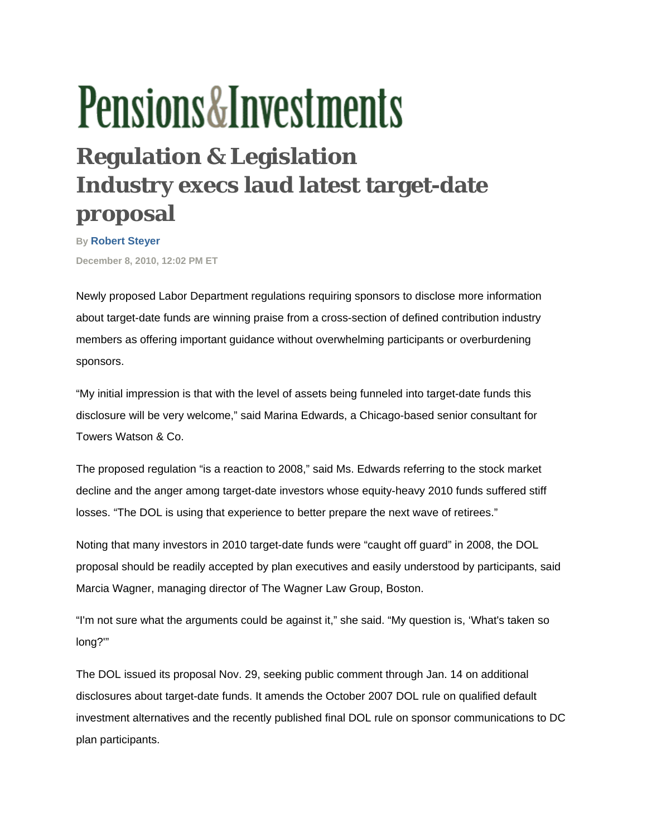## **Pensions&Investments**

## **Regulation & Legislation Industry execs laud latest target-date proposal**

**By [Robert Steyer](http://www.pionline.com/apps/pbcs.dll/personalia?ID=RSTEYER) December 8, 2010, 12:02 PM ET** 

Newly proposed Labor Department regulations requiring sponsors to disclose more information about target-date funds are winning praise from a cross-section of defined contribution industry members as offering important guidance without overwhelming participants or overburdening sponsors.

"My initial impression is that with the level of assets being funneled into target-date funds this disclosure will be very welcome," said Marina Edwards, a Chicago-based senior consultant for Towers Watson & Co.

The proposed regulation "is a reaction to 2008," said Ms. Edwards referring to the stock market decline and the anger among target-date investors whose equity-heavy 2010 funds suffered stiff losses. "The DOL is using that experience to better prepare the next wave of retirees."

Noting that many investors in 2010 target-date funds were "caught off guard" in 2008, the DOL proposal should be readily accepted by plan executives and easily understood by participants, said Marcia Wagner, managing director of The Wagner Law Group, Boston.

"I'm not sure what the arguments could be against it," she said. "My question is, 'What's taken so long?'"

The DOL issued its proposal Nov. 29, seeking public comment through Jan. 14 on additional disclosures about target-date funds. It amends the October 2007 DOL rule on qualified default investment alternatives and the recently published final DOL rule on sponsor communications to DC plan participants.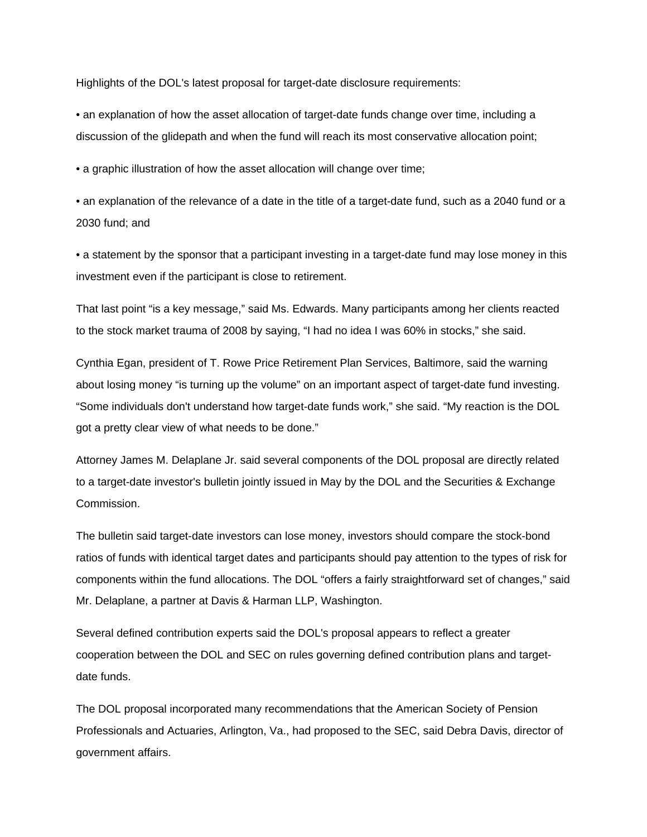Highlights of the DOL's latest proposal for target-date disclosure requirements:

• an explanation of how the asset allocation of target-date funds change over time, including a discussion of the glidepath and when the fund will reach its most conservative allocation point;

• a graphic illustration of how the asset allocation will change over time;

• an explanation of the relevance of a date in the title of a target-date fund, such as a 2040 fund or a 2030 fund; and

• a statement by the sponsor that a participant investing in a target-date fund may lose money in this investment even if the participant is close to retirement.

That last point "is a key message," said Ms. Edwards. Many participants among her clients reacted to the stock market trauma of 2008 by saying, "I had no idea I was 60% in stocks," she said.

Cynthia Egan, president of T. Rowe Price Retirement Plan Services, Baltimore, said the warning about losing money "is turning up the volume" on an important aspect of target-date fund investing. "Some individuals don't understand how target-date funds work," she said. "My reaction is the DOL got a pretty clear view of what needs to be done."

Attorney James M. Delaplane Jr. said several components of the DOL proposal are directly related to a target-date investor's bulletin jointly issued in May by the DOL and the Securities & Exchange Commission.

The bulletin said target-date investors can lose money, investors should compare the stock-bond ratios of funds with identical target dates and participants should pay attention to the types of risk for components within the fund allocations. The DOL "offers a fairly straightforward set of changes," said Mr. Delaplane, a partner at Davis & Harman LLP, Washington.

Several defined contribution experts said the DOL's proposal appears to reflect a greater cooperation between the DOL and SEC on rules governing defined contribution plans and targetdate funds.

The DOL proposal incorporated many recommendations that the American Society of Pension Professionals and Actuaries, Arlington, Va., had proposed to the SEC, said Debra Davis, director of government affairs.